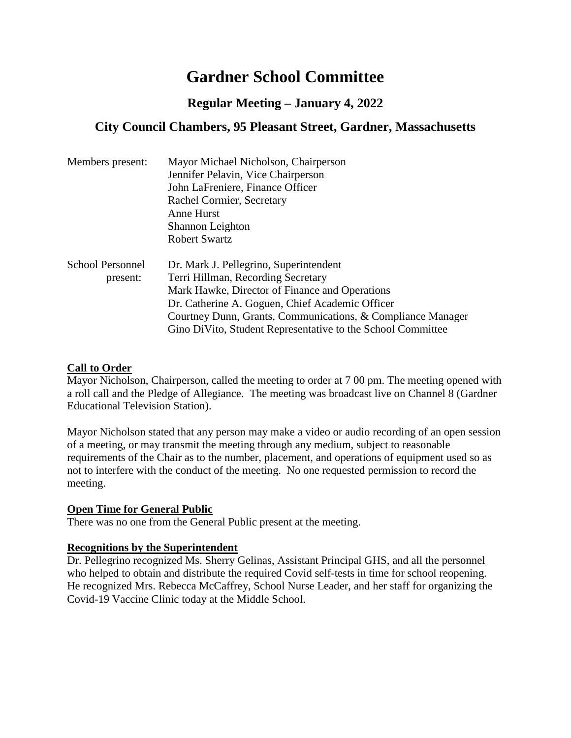# **Gardner School Committee**

# **Regular Meeting – January 4, 2022**

# **City Council Chambers, 95 Pleasant Street, Gardner, Massachusetts**

| Members present:        | Mayor Michael Nicholson, Chairperson                        |
|-------------------------|-------------------------------------------------------------|
|                         | Jennifer Pelavin, Vice Chairperson                          |
|                         | John LaFreniere, Finance Officer                            |
|                         | Rachel Cormier, Secretary                                   |
|                         | Anne Hurst                                                  |
|                         | Shannon Leighton                                            |
|                         | <b>Robert Swartz</b>                                        |
| <b>School Personnel</b> | Dr. Mark J. Pellegrino, Superintendent                      |
| present:                | Terri Hillman, Recording Secretary                          |
|                         | Mark Hawke, Director of Finance and Operations              |
|                         | Dr. Catherine A. Goguen, Chief Academic Officer             |
|                         | Courtney Dunn, Grants, Communications, & Compliance Manager |
|                         | Gino DiVito, Student Representative to the School Committee |

#### **Call to Order**

Mayor Nicholson, Chairperson, called the meeting to order at 7 00 pm. The meeting opened with a roll call and the Pledge of Allegiance. The meeting was broadcast live on Channel 8 (Gardner Educational Television Station).

Mayor Nicholson stated that any person may make a video or audio recording of an open session of a meeting, or may transmit the meeting through any medium, subject to reasonable requirements of the Chair as to the number, placement, and operations of equipment used so as not to interfere with the conduct of the meeting. No one requested permission to record the meeting.

#### **Open Time for General Public**

There was no one from the General Public present at the meeting.

#### **Recognitions by the Superintendent**

Dr. Pellegrino recognized Ms. Sherry Gelinas, Assistant Principal GHS, and all the personnel who helped to obtain and distribute the required Covid self-tests in time for school reopening. He recognized Mrs. Rebecca McCaffrey, School Nurse Leader, and her staff for organizing the Covid-19 Vaccine Clinic today at the Middle School.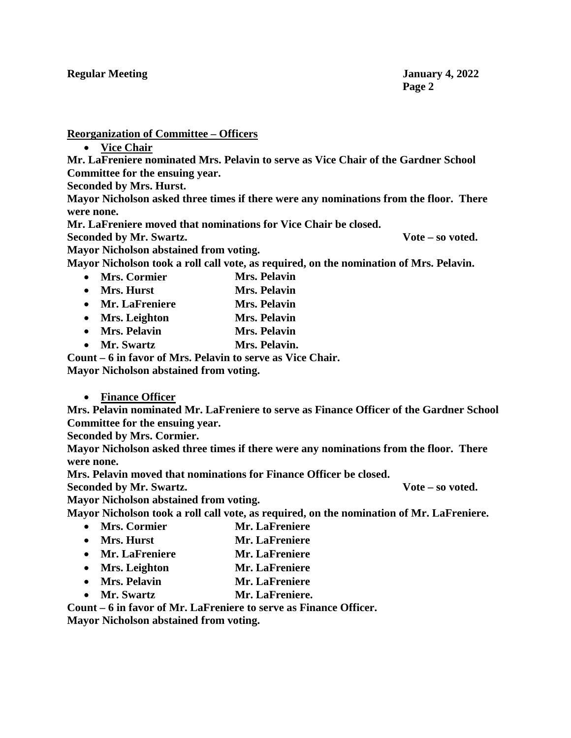**Reorganization of Committee – Officers**

• **Vice Chair**

**Mr. LaFreniere nominated Mrs. Pelavin to serve as Vice Chair of the Gardner School Committee for the ensuing year.**

**Seconded by Mrs. Hurst.**

**Mayor Nicholson asked three times if there were any nominations from the floor. There were none.**

**Mr. LaFreniere moved that nominations for Vice Chair be closed.**

**Seconded by Mr. Swartz. Vote – so voted.**

**Mayor Nicholson abstained from voting.**

**Mayor Nicholson took a roll call vote, as required, on the nomination of Mrs. Pelavin.**

- **Mrs. Cormier Mrs. Pelavin**
- **Mrs. Hurst Mrs. Pelavin**
- **Mr. LaFreniere Mrs. Pelavin**
- **Mrs. Leighton Mrs. Pelavin**
- **Mrs. Pelavin Mrs. Pelavin**
- **Mr. Swartz Mrs. Pelavin.**

**Count – 6 in favor of Mrs. Pelavin to serve as Vice Chair.** 

**Mayor Nicholson abstained from voting.**

### • **Finance Officer**

**Mrs. Pelavin nominated Mr. LaFreniere to serve as Finance Officer of the Gardner School Committee for the ensuing year.**

**Seconded by Mrs. Cormier.**

**Mayor Nicholson asked three times if there were any nominations from the floor. There were none.**

**Mrs. Pelavin moved that nominations for Finance Officer be closed.**

**Seconded by Mr. Swartz. Vote – so voted.**

**Mayor Nicholson abstained from voting.**

**Mayor Nicholson took a roll call vote, as required, on the nomination of Mr. LaFreniere.**

- **Mrs. Cormier Mr. LaFreniere**
- **Mrs. Hurst Mr. LaFreniere**
- **Mr. LaFreniere Mr. LaFreniere**
- **Mrs. Leighton Mr. LaFreniere**
- **Mrs. Pelavin Mr. LaFreniere**
- **Mr. Swartz Mr. LaFreniere.**

**Count – 6 in favor of Mr. LaFreniere to serve as Finance Officer.**

**Mayor Nicholson abstained from voting.**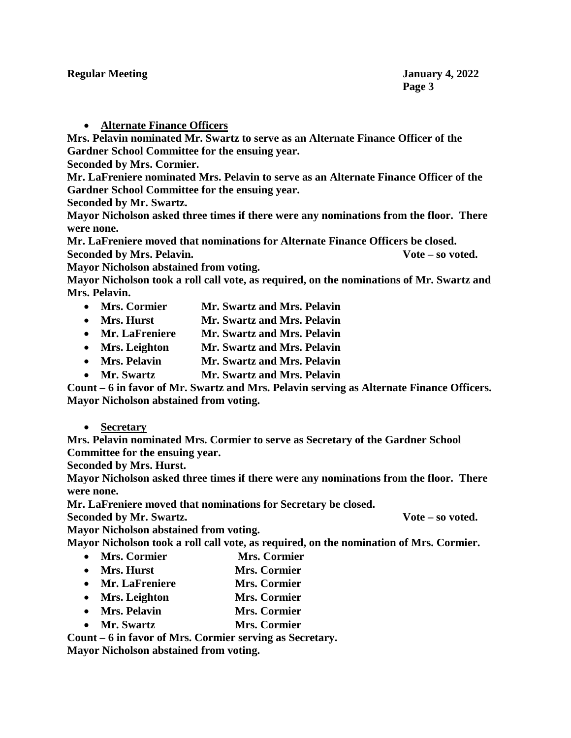• **Alternate Finance Officers**

**Mrs. Pelavin nominated Mr. Swartz to serve as an Alternate Finance Officer of the Gardner School Committee for the ensuing year.**

**Seconded by Mrs. Cormier.**

**Mr. LaFreniere nominated Mrs. Pelavin to serve as an Alternate Finance Officer of the Gardner School Committee for the ensuing year.**

**Seconded by Mr. Swartz.**

**Mayor Nicholson asked three times if there were any nominations from the floor. There were none.**

**Mr. LaFreniere moved that nominations for Alternate Finance Officers be closed. Seconded by Mrs. Pelavin. Vote – so voted.**

**Mayor Nicholson abstained from voting.**

**Mayor Nicholson took a roll call vote, as required, on the nominations of Mr. Swartz and Mrs. Pelavin.** 

- **Mrs. Cormier Mr. Swartz and Mrs. Pelavin**
- **Mrs. Hurst Mr. Swartz and Mrs. Pelavin**
- **Mr. LaFreniere Mr. Swartz and Mrs. Pelavin**
- **Mrs. Leighton Mr. Swartz and Mrs. Pelavin**
- **Mrs. Pelavin Mr. Swartz and Mrs. Pelavin**
- **Mr. Swartz Mr. Swartz and Mrs. Pelavin**

**Count – 6 in favor of Mr. Swartz and Mrs. Pelavin serving as Alternate Finance Officers. Mayor Nicholson abstained from voting.**

• **Secretary**

**Mrs. Pelavin nominated Mrs. Cormier to serve as Secretary of the Gardner School Committee for the ensuing year.**

**Seconded by Mrs. Hurst.**

**Mayor Nicholson asked three times if there were any nominations from the floor. There were none.**

**Mr. LaFreniere moved that nominations for Secretary be closed.**

**Seconded by Mr. Swartz. Vote – so voted.**

**Mayor Nicholson abstained from voting.**

**Mayor Nicholson took a roll call vote, as required, on the nomination of Mrs. Cormier.**

- **Mrs. Cormier Mrs. Cormier**
- **Mrs. Hurst Mrs. Cormier**
- **Mr. LaFreniere Mrs. Cormier**
- **Mrs. Leighton Mrs. Cormier**
- **Mrs. Pelavin Mrs. Cormier**
- **Mr. Swartz Mrs. Cormier**

**Count – 6 in favor of Mrs. Cormier serving as Secretary.**

**Mayor Nicholson abstained from voting.**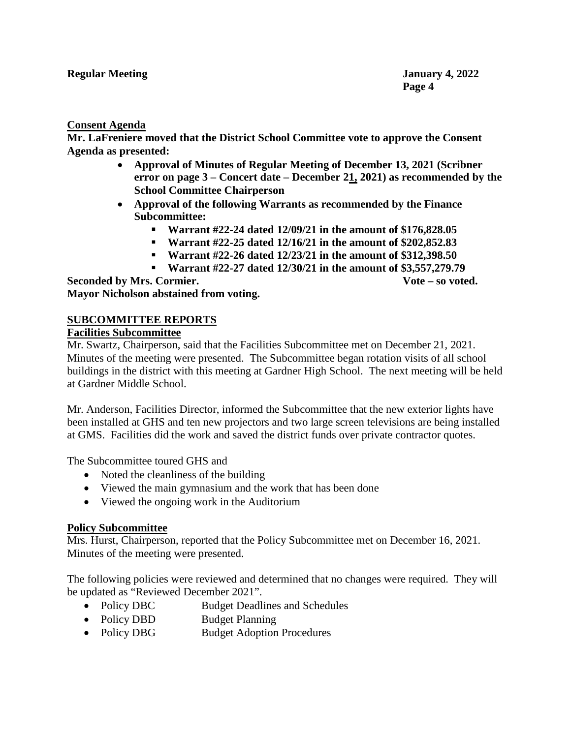#### **Consent Agenda**

**Mr. LaFreniere moved that the District School Committee vote to approve the Consent Agenda as presented:**

- **Approval of Minutes of Regular Meeting of December 13, 2021 (Scribner error on page 3 – Concert date – December 21, 2021) as recommended by the School Committee Chairperson**
- **Approval of the following Warrants as recommended by the Finance Subcommittee:**
	- **Warrant #22-24 dated 12/09/21 in the amount of \$176,828.05**
	- **Warrant #22-25 dated 12/16/21 in the amount of \$202,852.83**
	- **Warrant #22-26 dated 12/23/21 in the amount of \$312,398.50**
	- **Warrant #22-27 dated 12/30/21 in the amount of \$3,557,279.79**

**Seconded by Mrs. Cormier. Vote – so voted. Mayor Nicholson abstained from voting.**

#### **SUBCOMMITTEE REPORTS**

#### **Facilities Subcommittee**

Mr. Swartz, Chairperson, said that the Facilities Subcommittee met on December 21, 2021. Minutes of the meeting were presented. The Subcommittee began rotation visits of all school buildings in the district with this meeting at Gardner High School. The next meeting will be held at Gardner Middle School.

Mr. Anderson, Facilities Director, informed the Subcommittee that the new exterior lights have been installed at GHS and ten new projectors and two large screen televisions are being installed at GMS. Facilities did the work and saved the district funds over private contractor quotes.

The Subcommittee toured GHS and

- Noted the cleanliness of the building
- Viewed the main gymnasium and the work that has been done
- Viewed the ongoing work in the Auditorium

### **Policy Subcommittee**

Mrs. Hurst, Chairperson, reported that the Policy Subcommittee met on December 16, 2021. Minutes of the meeting were presented.

The following policies were reviewed and determined that no changes were required. They will be updated as "Reviewed December 2021".

- Policy DBC Budget Deadlines and Schedules
- Policy DBD Budget Planning
- Policy DBG Budget Adoption Procedures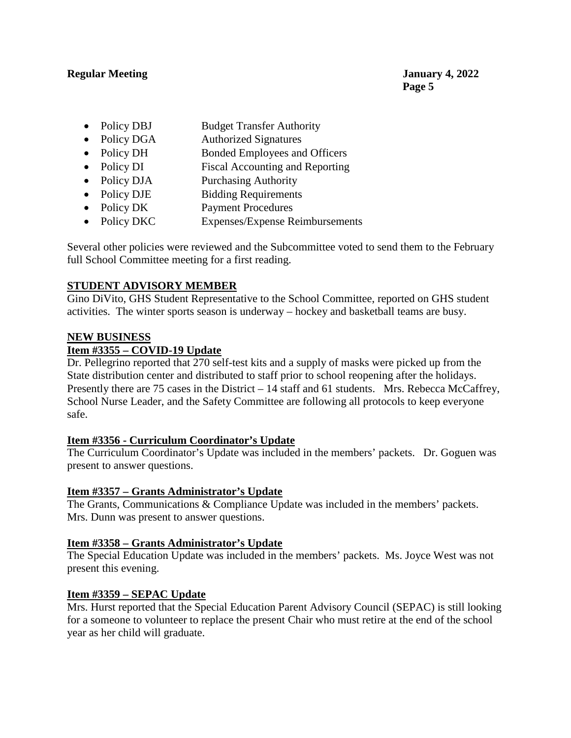#### **Regular Meeting January 4, 2022**

- Policy DBJ Budget Transfer Authority
- Policy DGA Authorized Signatures
- Policy DH Bonded Employees and Officers
- Policy DI Fiscal Accounting and Reporting
- Policy DJA Purchasing Authority
- Policy DJE Bidding Requirements
- Policy DK Payment Procedures
- Policy DKC Expenses/Expense Reimbursements

Several other policies were reviewed and the Subcommittee voted to send them to the February full School Committee meeting for a first reading.

### **STUDENT ADVISORY MEMBER**

Gino DiVito, GHS Student Representative to the School Committee, reported on GHS student activities. The winter sports season is underway – hockey and basketball teams are busy.

#### **NEW BUSINESS**

### **Item #3355 – COVID-19 Update**

Dr. Pellegrino reported that 270 self-test kits and a supply of masks were picked up from the State distribution center and distributed to staff prior to school reopening after the holidays. Presently there are 75 cases in the District – 14 staff and 61 students. Mrs. Rebecca McCaffrey, School Nurse Leader, and the Safety Committee are following all protocols to keep everyone safe.

### **Item #3356 - Curriculum Coordinator's Update**

The Curriculum Coordinator's Update was included in the members' packets. Dr. Goguen was present to answer questions.

### **Item #3357 – Grants Administrator's Update**

The Grants, Communications & Compliance Update was included in the members' packets. Mrs. Dunn was present to answer questions.

### **Item #3358 – Grants Administrator's Update**

The Special Education Update was included in the members' packets. Ms. Joyce West was not present this evening.

### **Item #3359 – SEPAC Update**

Mrs. Hurst reported that the Special Education Parent Advisory Council (SEPAC) is still looking for a someone to volunteer to replace the present Chair who must retire at the end of the school year as her child will graduate.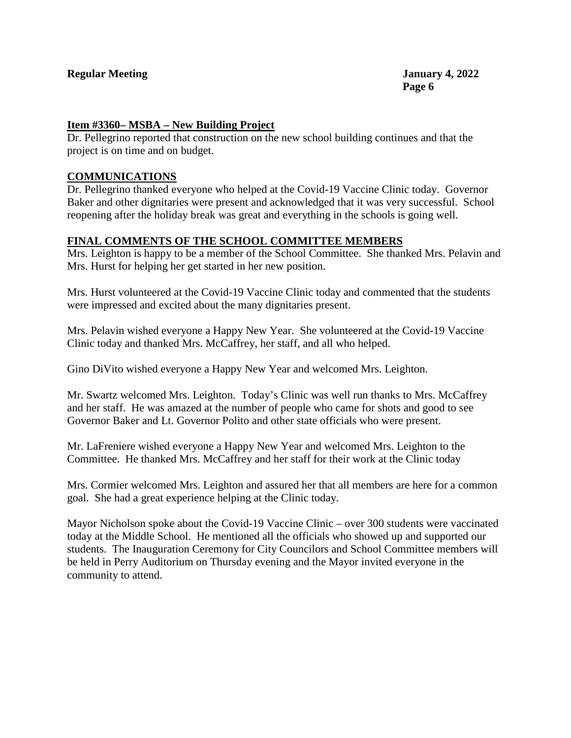#### **Regular Meeting January 4, 2022**

#### **Item #3360– MSBA – New Building Project**

Dr. Pellegrino reported that construction on the new school building continues and that the project is on time and on budget.

#### **COMMUNICATIONS**

Dr. Pellegrino thanked everyone who helped at the Covid-19 Vaccine Clinic today. Governor Baker and other dignitaries were present and acknowledged that it was very successful. School reopening after the holiday break was great and everything in the schools is going well.

#### **FINAL COMMENTS OF THE SCHOOL COMMITTEE MEMBERS**

Mrs. Leighton is happy to be a member of the School Committee. She thanked Mrs. Pelavin and Mrs. Hurst for helping her get started in her new position.

Mrs. Hurst volunteered at the Covid-19 Vaccine Clinic today and commented that the students were impressed and excited about the many dignitaries present.

Mrs. Pelavin wished everyone a Happy New Year. She volunteered at the Covid-19 Vaccine Clinic today and thanked Mrs. McCaffrey, her staff, and all who helped.

Gino DiVito wished everyone a Happy New Year and welcomed Mrs. Leighton.

Mr. Swartz welcomed Mrs. Leighton. Today's Clinic was well run thanks to Mrs. McCaffrey and her staff. He was amazed at the number of people who came for shots and good to see Governor Baker and Lt. Governor Polito and other state officials who were present.

Mr. LaFreniere wished everyone a Happy New Year and welcomed Mrs. Leighton to the Committee. He thanked Mrs. McCaffrey and her staff for their work at the Clinic today

Mrs. Cormier welcomed Mrs. Leighton and assured her that all members are here for a common goal. She had a great experience helping at the Clinic today.

Mayor Nicholson spoke about the Covid-19 Vaccine Clinic – over 300 students were vaccinated today at the Middle School. He mentioned all the officials who showed up and supported our students. The Inauguration Ceremony for City Councilors and School Committee members will be held in Perry Auditorium on Thursday evening and the Mayor invited everyone in the community to attend.